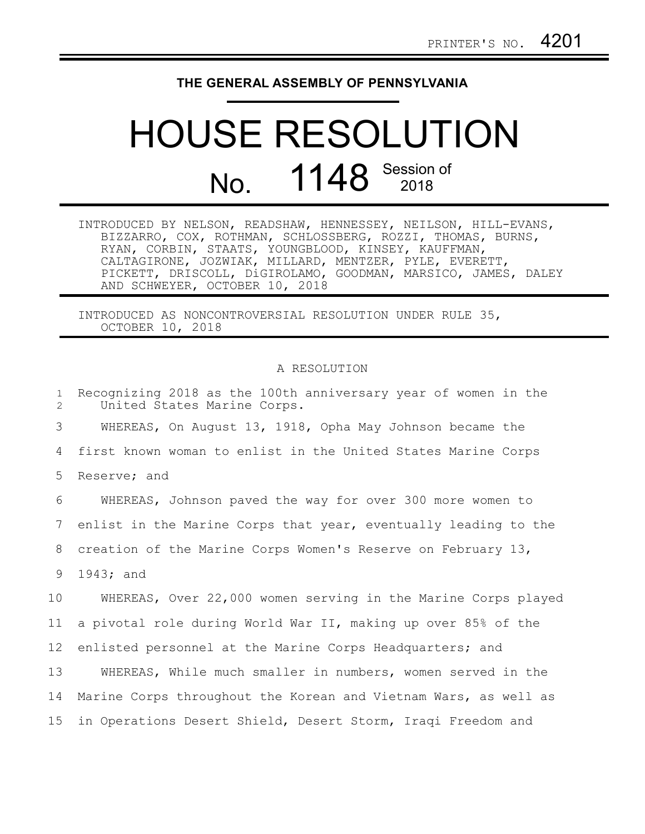## **THE GENERAL ASSEMBLY OF PENNSYLVANIA**

## HOUSE RESOLUTION No. 1148 Session of

| INTRODUCED BY NELSON, READSHAW, HENNESSEY, NEILSON, HILL-EVANS, |  |
|-----------------------------------------------------------------|--|
| BIZZARRO, COX, ROTHMAN, SCHLOSSBERG, ROZZI, THOMAS, BURNS,      |  |
| RYAN, CORBIN, STAATS, YOUNGBLOOD, KINSEY, KAUFFMAN,             |  |
| CALTAGIRONE, JOZWIAK, MILLARD, MENTZER, PYLE, EVERETT,          |  |
| PICKETT, DRISCOLL, DiGIROLAMO, GOODMAN, MARSICO, JAMES, DALEY   |  |
| AND SCHWEYER, OCTOBER 10, 2018                                  |  |

INTRODUCED AS NONCONTROVERSIAL RESOLUTION UNDER RULE 35, OCTOBER 10, 2018

## A RESOLUTION

| $\mathbf{1}$<br>2 | Recognizing 2018 as the 100th anniversary year of women in the<br>United States Marine Corps. |
|-------------------|-----------------------------------------------------------------------------------------------|
| 3                 | WHEREAS, On August 13, 1918, Opha May Johnson became the                                      |
| 4                 | first known woman to enlist in the United States Marine Corps                                 |
| 5                 | Reserve; and                                                                                  |
| 6                 | WHEREAS, Johnson paved the way for over 300 more women to                                     |
| 7                 | enlist in the Marine Corps that year, eventually leading to the                               |
| 8                 | creation of the Marine Corps Women's Reserve on February 13,                                  |
| 9                 | 1943; and                                                                                     |
| 10 <sub>o</sub>   | WHEREAS, Over 22,000 women serving in the Marine Corps played                                 |
| 11                | a pivotal role during World War II, making up over 85% of the                                 |
| 12                | enlisted personnel at the Marine Corps Headquarters; and                                      |
| 13                | WHEREAS, While much smaller in numbers, women served in the                                   |
| 14                | Marine Corps throughout the Korean and Vietnam Wars, as well as                               |
| 15 <sub>2</sub>   | in Operations Desert Shield, Desert Storm, Iraqi Freedom and                                  |